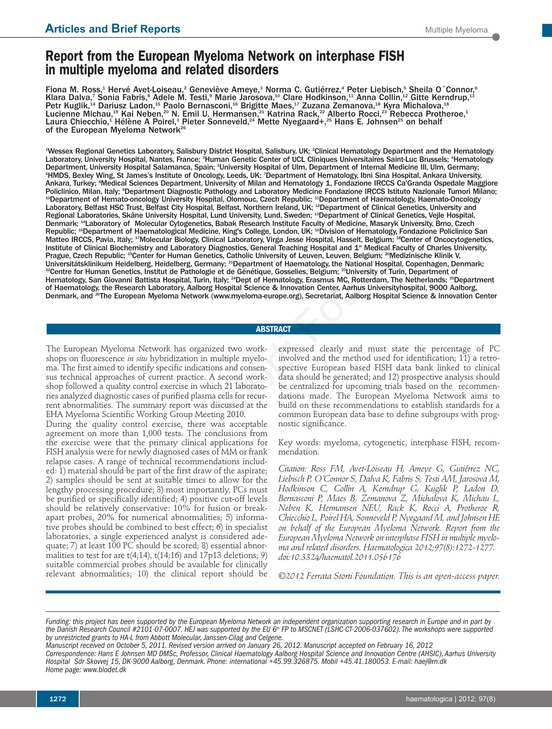# **Report from the European Myeloma Network on interphase FISH in multiple myeloma and related disorders**

Fiona M. Ross,1 Hervé Avet-Loiseau,2 Geneviève Ameye,3 Norma C. Gutiérrez,4 Peter Liebisch,5 Sheila O´Connor,6 Klara Dalva,<sup>7</sup> Sonia Fabris,<sup>s</sup> Adele M. Testi,<sup>s</sup> Marie Jarosova,<sup>10</sup> Clare Hodkinson,<sup>11</sup> Anna Collin,<sup>12</sup> Gitte Kerndrup,<sup>13</sup> Petr Kuglik,<sup>14</sup> Dariusz Ladon,<sup>15</sup> Paolo Bernasconi,<sup>16</sup> Brigitte Maes,<sup>17</sup> Zuzana Zemanova,<sup>18</sup> Kyra Michalova,<sup>18</sup> Lucienne Michau,<sup>19</sup> Kai Neben,<sup>20</sup> N. Emil U. Hermansen,<sup>21</sup> Katrina Rack,<sup>22</sup> Alberto Rocci,<sup>23</sup> Rebecca Protheroe,<sup>1</sup> Laura Chiecchio,<sup>1</sup> Hélène A Poirel,<sup>3</sup> Pieter Sonneveld,<sup>24</sup> Mette Nyegaard+,<sup>25</sup> Hans E. Johnsen<sup>25</sup> on behalf of the European Myeloma Network<sup>26</sup>

<sup>1</sup>Wessex Regional Genetics Laboratory, Salisbury District Hospital, Salisbury, UK; <sup>2</sup>Clinical Hematology Department and the Hematology Laboratory, University Hospital, Nantes, France; <sup>3</sup>Human Genetic Center of UCL Cliniques Universitaires Saint-Luc Brussels; <sup>4</sup>Hematology Department, University Hospital Salamanca, Spain; <sup>s</sup>University Hospital of Ulm, Department of Internal Medicine III, Ulm, Germany; 6 HMDS, Bexley Wing, St James's Institute of Oncology, Leeds, UK; 7 Department of Hematology, Ibni Sina Hospital, Ankara University, Ankara, Turkey; <sup>s</sup>Medical Sciences Department, University of Milan and Hematology 1, Fondazione IRCCS Ca'Granda Ospedale Maggiore Policlinico, Milan, Italy; <sup>9</sup>Department Diagnostic Pathology and Laboratory Medicine Fondazione IRCCS Istituto Nazionale Tumori Milano; <sup>10</sup>Department of Hemato-oncology University Hospital, Olomouc, Czech Republic; <sup>11</sup>Department of Haematology, Haemato-Oncology Laboratory, Belfast HSC Trust, Belfast City Hospital, Belfast, Northern Ireland, UK; 12Department of Clinical Genetics, University and Regional Laboratories, Skåne University Hospital, Lund University, Lund, Sweden; 13Department of Clinical Genetics, Vejle Hospital, Denmark; 14Laboratory of Molecular Cytogenetics, Babak Research Institute Faculty of Medicine, Masaryk University, Brno, Czech Republic; <sup>15</sup>Department of Haematological Medicine, King's College, London, UK; <sup>16</sup>Division of Hematology, Fondazione Policlinico San Matteo IRCCS, Pavia, Italy; <sup>17</sup>Molecular Biology, Clinical Laboratory, Virga Jesse Hospital, Hasselt, Belgium; <sup>18</sup>Center of Oncocytogenetics, Institute of Clinical Biochemistry and Laboratory Diagnostics, General Teaching Hospital and 1<sup>st</sup> Medical Faculty of Charles University, Prague, Czech Republic; <sup>19</sup>Center for Human Genetics, Catholic University of Leuven, Leuven, Belgium; <sup>20</sup>Medizinische Klinik V, Universitätsklinikum Heidelberg, Heidelberg, Germany; <sup>21</sup>Department of Haematology, the National Hospital, Copenhagen, Denmark; 22Centre for Human Genetics, Institut de Pathologie et de Génétique, Gosselies, Belgium; 23University of Turin, Department of Hematology, San Giovanni Battista Hospital, Turin, Italy; <sup>24</sup>Dept of Hematology, Erasmus MC, Rotterdam, The Netherlands; <sup>25</sup>Department of Haematology, the Research Laboratory, Aalborg Hospital Science & Innovation Center, Aarhus Universityhospital, 9000 Aalborg, Denmark, and <sup>26</sup>The European Myeloma Network (www.myeloma-europe.org), Secretariat, Aalborg Hospital Science & Innovation Center New Machines General Chinesesiyo Minin and Hematology 1. Fondazione HRCSS GeGranda Operation Enterstand Storting (Note that the properties of the control of the storting of the storing operation in the storing operation of

### **ABSTRACT**

The European Myeloma Network has organized two workshops on fluorescence *in situ* hybridization in multiple myeloma. The first aimed to identify specific indications and consensus technical approaches of current practice. A second workshop followed a quality control exercise in which 21 laboratories analyzed diagnostic cases of purified plasma cells for recurrent abnormalities. The summary report was discussed at the EHA Myeloma Scientific Working Group Meeting 2010.

During the quality control exercise, there was acceptable agreement on more than 1,000 tests. The conclusions from the exercise were that the primary clinical applications for FISH analysis were for newly diagnosed cases of MM or frank relapse cases. A range of technical recommendations included: 1) material should be part of the first draw of the aspirate; 2) samples should be sent at suitable times to allow for the lengthy processing procedure; 3) most importantly, PCs must be purified or specifically identified; 4) positive cut-off levels should be relatively conservative: 10% for fusion or breakapart probes, 20% for numerical abnormalities; 5) informative probes should be combined to best effect; 6) in specialist laboratories, a single experienced analyst is considered adequate; 7) at least 100 PC should be scored; 8) essential abnormalities to test for are  $t(4;14)$ ,  $t(14;16)$  and  $17p13$  deletions; 9) suitable commercial probes should be available for clinically relevant abnormalities; 10) the clinical report should be

expressed clearly and must state the percentage of PC involved and the method used for identification; 11) a retrospective European based FISH data bank linked to clinical data should be generated; and 12) prospective analysis should be centralized for upcoming trials based on the recommendations made. The European Myeloma Network aims to build on these recommendations to establish standards for a common European data base to define subgroups with prognostic significance.

Key words: myeloma, cytogenetic, interphase FISH, recommendation.

*Citation: Ross FM, Avet-Loiseau H, Ameye G, Gutiérrez NC, Liebisch P, O´Connor S, Dalva K, Fabris S, Testi AM, Jarosova M, Hodkinson C, Collin A, Kerndrup G, Kuglik P, Ladon D, Bernasconi P, Maes B, Zemanova Z, Michalova K, Michau L, Neben K, Hermansen NEU, Rack K, Rocci A, Protheroe R, Chiecchio L, Poirel HA, Sonneveld P, Nyegaard M, and Johnsen HE on behalf of the European Myeloma Network. Report from the European Myeloma Network on interphase FISH in multiple myeloma and related disorders. Haematologica 2012;97(8):1272-1277. doi:10.3324/haematol.2011.056176*

*©2012 Ferrata Storti Foundation. This is an open-access paper.* 

*Funding: this project has been supported by the European Myeloma Network an independent organization supporting research in Europe and in part by the Danish Research Council #2101-07-0007. HEJ was supported by the EU 6th FP to MSCNET (LSHC-CT-2006-037602). The workshops were supported by unrestricted grants to HA-L from Abbott Molecular, Janssen-Cilag and Celgene.*

*Manuscript received on October 5, 2011. Revised version arrived on January 26, 2012. Manuscript accepted on February 16, 2012 Correspondence: Hans E Johnsen MD DMSc, Professor, Clinical Haematology Aalborg Hospital Science and Innovation Centre (AHSIC), Aarhus University Hospital Sdr Skovvej 15, DK-9000 Aalborg, Denmark. Phone: international +45.99.326875. Mobil +45.41.180053. E-mail: haej@rn.dk Home page: www.blodet.dk*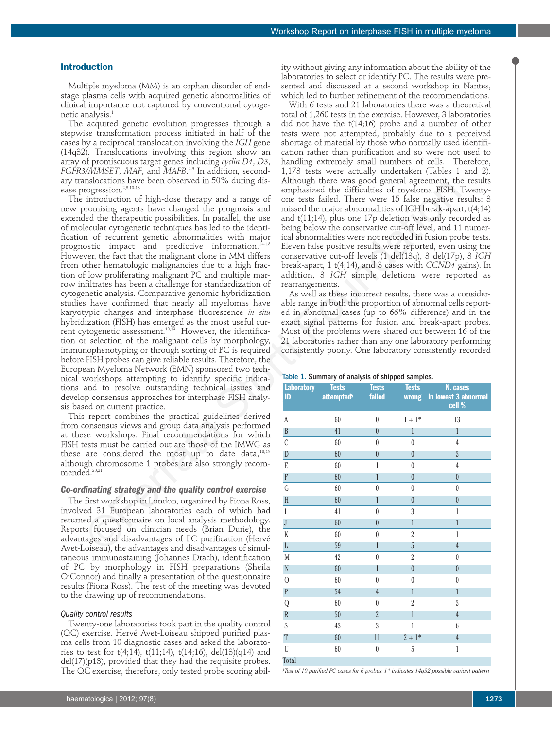### **Introduction**

Multiple myeloma (MM) is an orphan disorder of endstage plasma cells with acquired genetic abnormalities of clinical importance not captured by conventional cytogenetic analysis.<sup>1</sup>

The acquired genetic evolution progresses through a stepwise transformation process initiated in half of the cases by a reciprocal translocation involving the *IGH* gene (14q32). Translocations involving this region show an array of promiscuous target genes including *cyclin D1*, *D3*, *FGFR3/MMSET*, *MAF*, and *MAFB*. 2-9 In addition, secondary translocations have been observed in 50% during disease progression.<sup>2,3,10-13</sup>

The introduction of high-dose therapy and a range of new promising agents have changed the prognosis and extended the therapeutic possibilities. In parallel, the use of molecular cytogenetic techniques has led to the identification of recurrent genetic abnormalities with major prognostic impact and predictive information. $14-18$ However, the fact that the malignant clone in MM differs from other hematologic malignancies due to a high fraction of low proliferating malignant PC and multiple marrow infiltrates has been a challenge for standardization of cytogenetic analysis. Comparative genomic hybridization studies have confirmed that nearly all myelomas have karyotypic changes and interphase fluorescence *in situ* hybridization (FISH) has emerged as the most useful current cytogenetic assessment. $18,19$  However, the identification or selection of the malignant cells by morphology, immunophenotyping or through sorting of PC is required before FISH probes can give reliable results. Therefore, the European Myeloma Network (EMN) sponsored two technical workshops attempting to identify specific indications and to resolve outstanding technical issues and develop consensus approaches for interphase FISH analysis based on current practice. isometric the interesting material and the particle was good general agreements, the interesting interesting interesting interesting interesting in the content of the particle of the proposition of high-dose the<br>angle the

This report combines the practical guidelines derived from consensus views and group data analysis performed at these workshops. Final recommendations for which FISH tests must be carried out are those of the IMWG as these are considered the most up to date data,  $18,19$ although chromosome 1 probes are also strongly recommended.<sup>20,21</sup>

### *Co-ordinating strategy and the quality control exercise*

The first workshop in London, organized by Fiona Ross, involved 31 European laboratories each of which had returned a questionnaire on local analysis methodology. Reports focused on clinician needs (Brian Durie), the advantages and disadvantages of PC purification (Hervé Avet-Loiseau), the advantages and disadvantages of simultaneous immunostaining (Johannes Drach), identification of PC by morphology in FISH preparations (Sheila O'Connor) and finally a presentation of the questionnaire results (Fiona Ross). The rest of the meeting was devoted to the drawing up of recommendations.

### *Quality control results*

Twenty-one laboratories took part in the quality control (QC) exercise. Hervé Avet-Loiseau shipped purified plasma cells from 10 diagnostic cases and asked the laboratories to test for  $t(4;14)$ ,  $t(11;14)$ ,  $t(14;16)$ ,  $del(13)(q14)$  and del(17)(p13), provided that they had the requisite probes. The QC exercise, therefore, only tested probe scoring abil-

With 6 tests and 21 laboratories there was a theoretical total of 1,260 tests in the exercise. However, 3 laboratories did not have the t(14;16) probe and a number of other tests were not attempted, probably due to a perceived shortage of material by those who normally used identification rather than purification and so were not used to handling extremely small numbers of cells. Therefore, 1,173 tests were actually undertaken (Tables 1 and 2). Although there was good general agreement, the results emphasized the difficulties of myeloma FISH. Twentyone tests failed. There were 15 false negative results: 3 missed the major abnormalities of IGH break-apart, t(4;14) and t(11;14), plus one 17p deletion was only recorded as being below the conservative cut-off level, and 11 numerical abnormalities were not recorded in fusion probe tests. Eleven false positive results were reported, even using the conservative cut-off levels (1 del(13q), 3 del(17p), 3 *IGH* break-apart, 1 t(4;14), and 3 cases with *CCND1* gains). In addition, 3 *IGH* simple deletions were reported as rearrangements.

As well as these incorrect results, there was a considerable range in both the proportion of abnormal cells reported in abnormal cases (up to 66% difference) and in the exact signal patterns for fusion and break-apart probes. Most of the problems were shared out between 16 of the 21 laboratories rather than any one laboratory performing consistently poorly. One laboratory consistently recorded

#### Table 1. Summary of analysis of shipped samples.

| <b>Laboratory</b><br>ID | <b>Tests</b><br>attempted <sup>§</sup> | <b>Tests</b><br>failed | <b>Tests</b><br>wrong | N. cases<br>in lowest 3 abnormal<br>cell % |
|-------------------------|----------------------------------------|------------------------|-----------------------|--------------------------------------------|
| A                       | 60                                     | $\boldsymbol{0}$       | $1 + 1*$              | 13                                         |
| $\mathbf{B}$            | 41                                     | $\overline{0}$         | 1                     | $\mathbf{1}$                               |
| $\mathcal{C}$           | 60                                     | $\boldsymbol{0}$       | $\boldsymbol{0}$      | $\overline{4}$                             |
| $\mathbf{D}$            | 60                                     | $\boldsymbol{0}$       | $\overline{0}$        | $\overline{3}$                             |
| E                       | 60                                     | $\mathbf{1}$           | $\theta$              | $\overline{4}$                             |
| $\mathbf F$             | 60                                     | 1                      | $\boldsymbol{0}$      | $\boldsymbol{0}$                           |
| G                       | 60                                     | $\boldsymbol{0}$       | $\boldsymbol{0}$      | $\boldsymbol{0}$                           |
| H                       | 60                                     | $\mathbf{1}$           | $\overline{0}$        | $\boldsymbol{0}$                           |
| I                       | 41                                     | $\boldsymbol{0}$       | $\overline{3}$        | $\mathbf{1}$                               |
| $\bf J$                 | 60                                     | $\boldsymbol{0}$       | $\mathbf{1}$          | 1                                          |
| $\rm K$                 | 60                                     | $\boldsymbol{0}$       | $\overline{2}$        | $\mathbf{1}$                               |
| $\Gamma$                | 59                                     | $\mathbf{1}$           | $5\,$                 | $\overline{4}$                             |
| $\mathbf M$             | 42                                     | $\boldsymbol{0}$       | $\overline{2}$        | $\boldsymbol{0}$                           |
| $\mathbf N$             | 60                                     | $\mathbf{1}$           | $\overline{0}$        | $\overline{0}$                             |
| $\overline{O}$          | 60                                     | $\boldsymbol{0}$       | $\boldsymbol{0}$      | $\boldsymbol{0}$                           |
| $\, {\bf P}$            | 54                                     | $\overline{4}$         | $\mathbf{1}$          | $\mathbf{1}$                               |
| $\mathbf Q$             | 60                                     | $\boldsymbol{0}$       | $\overline{2}$        | $\overline{3}$                             |
| $\mathsf R$             | 50                                     | $\overline{2}$         | $\mathbf{1}$          | $\overline{4}$                             |
| S                       | 43                                     | $\overline{3}$         | $\mathbf{1}$          | $\boldsymbol{6}$                           |
| T                       | 60                                     | 11                     | $2 + 1*$              | $\overline{4}$                             |
| U                       | 60                                     | $\boldsymbol{0}$       | $\overline{5}$        | $\mathbf{1}$                               |
| Total                   |                                        |                        |                       |                                            |

*§ Test of 10 purified PC cases for 6 probes. 1\* indicates 14q32 possible variant pattern*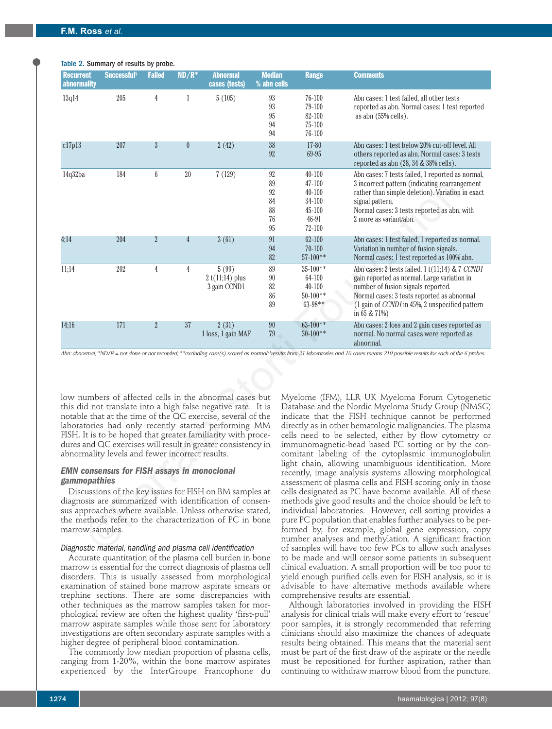| <b>Recurrent</b><br><b>abnormality</b>                                                                                                                                                                                                                                                                                                                                                                                                                | <b>Successful<sup>§</sup></b> | <b>Failed</b>  | $ND/R^*$       | <b>Abnormal</b><br>cases (tests)                                                                                                                                                                                                                                                                                                                                                | <b>Median</b><br>% abn cells               | <b>Range</b>                                                                      | <b>Comments</b>                                                                                                                                                                                                                                                                                                                                                                                                                                                                                                                                                                                                      |
|-------------------------------------------------------------------------------------------------------------------------------------------------------------------------------------------------------------------------------------------------------------------------------------------------------------------------------------------------------------------------------------------------------------------------------------------------------|-------------------------------|----------------|----------------|---------------------------------------------------------------------------------------------------------------------------------------------------------------------------------------------------------------------------------------------------------------------------------------------------------------------------------------------------------------------------------|--------------------------------------------|-----------------------------------------------------------------------------------|----------------------------------------------------------------------------------------------------------------------------------------------------------------------------------------------------------------------------------------------------------------------------------------------------------------------------------------------------------------------------------------------------------------------------------------------------------------------------------------------------------------------------------------------------------------------------------------------------------------------|
| 13q14                                                                                                                                                                                                                                                                                                                                                                                                                                                 | 205                           | 4              | $\mathbf{1}$   | 5(105)                                                                                                                                                                                                                                                                                                                                                                          | 93<br>$93\,$<br>95<br>94<br>94             | $76 - 100$<br>79-100<br>82-100<br>$75 - 100$<br>$76 - 100$                        | Abn cases: 1 test failed, all other tests<br>reported as abn. Normal cases: 1 test reported<br>as abn $(55%$ cells).                                                                                                                                                                                                                                                                                                                                                                                                                                                                                                 |
| cl7p13                                                                                                                                                                                                                                                                                                                                                                                                                                                | 207                           | 3              | $\pmb{0}$      | 2(42)                                                                                                                                                                                                                                                                                                                                                                           | 38<br>92                                   | 17-80<br>69-95                                                                    | Abn cases: 1 test below 20% cut-off level. All<br>others reported as abn. Normal cases: 3 tests<br>reported as abn (28, 34 & 38% cells).                                                                                                                                                                                                                                                                                                                                                                                                                                                                             |
| 14q32ba                                                                                                                                                                                                                                                                                                                                                                                                                                               | 184                           | 6              | 20             | 7(129)                                                                                                                                                                                                                                                                                                                                                                          | 92<br>89<br>$92\,$<br>84<br>88<br>76<br>95 | $40 - 100$<br>47-100<br>$40 - 100$<br>34-100<br>$45 - 100$<br>46-91<br>$72 - 100$ | Abn cases: 7 tests failed, 1 reported as normal,<br>3 incorrect pattern (indicating rearrangement<br>rather than simple deletion). Variation in exact<br>signal pattern.<br>Normal cases: 3 tests reported as abn, with<br>2 more as variant/abn.                                                                                                                                                                                                                                                                                                                                                                    |
| 4;14                                                                                                                                                                                                                                                                                                                                                                                                                                                  | 204                           | $\overline{2}$ | $\overline{4}$ | 3(61)                                                                                                                                                                                                                                                                                                                                                                           | 91<br>94<br>$82\,$                         | $62 - 100$<br>$70-100$<br>$57 - 100**$                                            | Abn cases: 1 test failed, 1 reported as normal.<br>Variation in number of fusion signals.<br>Normal cases: 1 test reported as 100% abn.                                                                                                                                                                                                                                                                                                                                                                                                                                                                              |
| 11;14                                                                                                                                                                                                                                                                                                                                                                                                                                                 | 202                           | 4              | 4              | 5(99)<br>$2t(11;14)$ plus<br>3 gain CCND1                                                                                                                                                                                                                                                                                                                                       | 89<br>90<br>82<br>86<br>89                 | $35 - 100**$<br>64-100<br>$40 - 100$<br>$50 - 100**$<br>$63 - 98**$               | Abn cases: 2 tests failed. 1 t(11;14) & 7 CCND1<br>gain reported as normal. Large variation in<br>number of fusion signals reported.<br>Normal cases: 3 tests reported as abnormal<br>(1 gain of <i>CCND1</i> in 45%, 2 unspecified pattern<br>in 65 & 71%)                                                                                                                                                                                                                                                                                                                                                          |
| 14;16                                                                                                                                                                                                                                                                                                                                                                                                                                                 | 171                           | $\overline{2}$ | 37             | 2(31)<br>1 loss, 1 gain MAF                                                                                                                                                                                                                                                                                                                                                     | 90<br>$79\,$                               | $63-100**$<br>$30 - 100**$                                                        | Abn cases: 2 loss and 2 gain cases reported as<br>normal. No normal cases were reported as<br>abnormal.                                                                                                                                                                                                                                                                                                                                                                                                                                                                                                              |
|                                                                                                                                                                                                                                                                                                                                                                                                                                                       |                               |                |                | low numbers of affected cells in the abnormal cases but<br>this did not translate into a high false negative rate. It is<br>notable that at the time of the QC exercise, several of the<br>laboratories had only recently started performing MM<br>FISH. It is to be hoped that greater familiarity with proce-<br>dures and QC exercises will result in greater consistency in |                                            |                                                                                   | Abn: abnormal; *ND/R = not done or not recorded; **excluding case(s) scored as normal; *results from 21 laboratories and 10 cases means 210 possible results for each of the 6 probes.<br>Myelome (IFM), LLR UK Myeloma Forum Cytogenetic<br>Database and the Nordic Myeloma Study Group (NMSG)<br>indicate that the FISH technique cannot be performed<br>directly as in other hematologic malignancies. The plasma<br>cells need to be selected, either by flow cytometry or<br>immunomagnetic-bead based PC sorting or by the con-<br>comitant labeling of the cytoplasmic immunoglobulin                         |
| abnormality levels and fewer incorrect results.<br><b>EMN consensus for FISH assays in monoclonal</b><br>gammopathies<br>Discussions of the key issues for FISH on BM samples at<br>diagnosis are summarized with identification of consen-<br>sus approaches where available. Unless otherwise stated,<br>the methods refer to the characterization of PC in bone<br>marrow samples.<br>Diagnostic material, handling and plasma cell identification |                               |                |                |                                                                                                                                                                                                                                                                                                                                                                                 |                                            |                                                                                   | light chain, allowing unambiguous identification. More<br>recently, image analysis systems allowing morphological<br>assessment of plasma cells and FISH scoring only in those<br>cells designated as PC have become available. All of these<br>methods give good results and the choice should be left to<br>individual laboratories. However, cell sorting provides a<br>pure PC population that enables further analyses to be per-<br>formed by, for example, global gene expression, copy<br>number analyses and methylation. A significant fraction<br>of samples will have too few PCs to allow such analyses |

Table 2. Summary of results by probe.

# *EMN consensus for FISH assays in monoclonal gammopathies*

### *Diagnostic material, handling and plasma cell identification*

Accurate quantitation of the plasma cell burden in bone marrow is essential for the correct diagnosis of plasma cell disorders. This is usually assessed from morphological examination of stained bone marrow aspirate smears or trephine sections. There are some discrepancies with other techniques as the marrow samples taken for morphological review are often the highest quality 'first-pull' marrow aspirate samples while those sent for laboratory investigations are often secondary aspirate samples with a higher degree of peripheral blood contamination.

The commonly low median proportion of plasma cells, ranging from 1-20%, within the bone marrow aspirates experienced by the InterGroupe Francophone du

Myelome (IFM), LLR UK Myeloma Forum Cytogenetic Database and the Nordic Myeloma Study Group (NMSG) indicate that the FISH technique cannot be performed directly as in other hematologic malignancies. The plasma cells need to be selected, either by flow cytometry or immunomagnetic-bead based PC sorting or by the concomitant labeling of the cytoplasmic immunoglobulin light chain, allowing unambiguous identification. More recently, image analysis systems allowing morphological assessment of plasma cells and FISH scoring only in those cells designated as PC have become available. All of these methods give good results and the choice should be left to individual laboratories. However, cell sorting provides a pure PC population that enables further analyses to be performed by, for example, global gene expression, copy number analyses and methylation. A significant fraction of samples will have too few PCs to allow such analyses to be made and will censor some patients in subsequent clinical evaluation. A small proportion will be too poor to yield enough purified cells even for FISH analysis, so it is advisable to have alternative methods available where comprehensive results are essential.

Although laboratories involved in providing the FISH analysis for clinical trials will make every effort to 'rescue' poor samples, it is strongly recommended that referring clinicians should also maximize the chances of adequate results being obtained. This means that the material sent must be part of the first draw of the aspirate or the needle must be repositioned for further aspiration, rather than continuing to withdraw marrow blood from the puncture.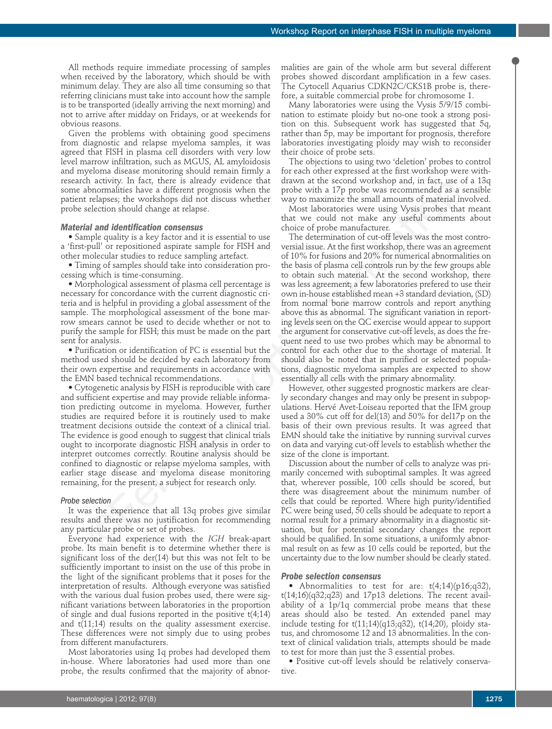All methods require immediate processing of samples when received by the laboratory, which should be with minimum delay. They are also all time consuming so that referring clinicians must take into account how the sample is to be transported (ideally arriving the next morning) and not to arrive after midday on Fridays, or at weekends for obvious reasons.

Given the problems with obtaining good specimens from diagnostic and relapse myeloma samples, it was agreed that FISH in plasma cell disorders with very low level marrow infiltration, such as MGUS, AL amyloidosis and myeloma disease monitoring should remain firmly a research activity. In fact, there is already evidence that some abnormalities have a different prognosis when the patient relapses; the workshops did not discuss whether probe selection should change at relapse.

# *Material and identification consensus*

• Sample quality is a key factor and it is essential to use a 'first-pull' or repositioned aspirate sample for FISH and other molecular studies to reduce sampling artefact.

• Timing of samples should take into consideration processing which is time-consuming.

• Morphological assessment of plasma cell percentage is necessary for concordance with the current diagnostic criteria and is helpful in providing a global assessment of the sample. The morphological assessment of the bone marrow smears cannot be used to decide whether or not to purify the sample for FISH; this must be made on the part sent for analysis.

• Purification or identification of PC is essential but the method used should be decided by each laboratory from their own expertise and requirements in accordance with the EMN based technical recommendations.

• Cytogenetic analysis by FISH is reproducible with care and sufficient expertise and may provide reliable information predicting outcome in myeloma. However, further studies are required before it is routinely used to make treatment decisions outside the context of a clinical trial. The evidence is good enough to suggest that clinical trials ought to incorporate diagnostic FISH analysis in order to interpret outcomes correctly. Routine analysis should be confined to diagnostic or relapse myeloma samples, with earlier stage disease and myeloma disease monitoring remaining, for the present, a subject for research only.

#### *Probe selection*

It was the experience that all 13q probes give similar results and there was no justification for recommending any particular probe or set of probes.

Everyone had experience with the *IGH* break-apart probe. Its main benefit is to determine whether there is significant loss of the der(14) but this was not felt to be sufficiently important to insist on the use of this probe in the light of the significant problems that it poses for the interpretation of results. Although everyone was satisfied with the various dual fusion probes used, there were significant variations between laboratories in the proportion of single and dual fusions reported in the positive t(4;14) and t(11;14) results on the quality assessment exercise. These differences were not simply due to using probes from different manufacturers.

Most laboratories using 1q probes had developed them in-house. Where laboratories had used more than one probe, the results confirmed that the majority of abnormalities are gain of the whole arm but several different probes showed discordant amplification in a few cases. The Cytocell Aquarius CDKN2C/CKS1B probe is, therefore, a suitable commercial probe for chromosome 1.

Many laboratories were using the Vysis 5/9/15 combination to estimate ploidy but no-one took a strong position on this. Subsequent work has suggested that 5q, rather than 5p, may be important for prognosis, therefore laboratories investigating ploidy may wish to reconsider their choice of probe sets.

The objections to using two 'deletion' probes to control for each other expressed at the first workshop were withdrawn at the second workshop and, in fact, use of a 13q probe with a 17p probe was recommended as a sensible way to maximize the small amounts of material involved.

Most laboratories were using Vysis probes that meant that we could not make any useful comments about choice of probe manufacturer.

The determination of cut-off levels was the most controversial issue. At the first workshop, there was an agreement of 10% for fusions and 20% for numerical abnormalities on the basis of plasma cell controls run by the few groups able to obtain such material. At the second workshop, there was less agreement; a few laboratories prefered to use their own in-house established mean +3 standard deviation, (SD) from normal bone marrow controls and report anything above this as abnormal. The significant variation in reporting levels seen on the QC exercise would appear to support the argument for conservative cut-off levels, as does the frequent need to use two probes which may be abnormal to control for each other due to the shortage of material. It should also be noted that in purified or selected populations, diagnostic myeloma samples are expected to show essentially all cells with the primary abnormality. In each work in the second work is a determinible same above at the second with second which use the store is a determinible show a determinible store is a determinible store is a determinible store is a selection found d

However, other suggested prognostic markers are clearly secondary changes and may only be present in subpopulations. Hervé Avet-Loiseau reported that the IFM group used a 30% cut off for del(13) and 50% for del17p on the basis of their own previous results. It was agreed that EMN should take the initiative by running survival curves on data and varying cut-off levels to establish whether the size of the clone is important.

Discussion about the number of cells to analyze was primarily concerned with suboptimal samples. It was agreed that, wherever possible, 100 cells should be scored, but there was disagreement about the minimum number of cells that could be reported. Where high purity/identified PC were being used, 50 cells should be adequate to report a normal result for a primary abnormality in a diagnostic situation, but for potential secondary changes the report should be qualified. In some situations, a uniformly abnormal result on as few as 10 cells could be reported, but the uncertainty due to the low number should be clearly stated.

#### *Probe selection consensus*

• Abnormalities to test for are:  $t(4;14)(p16;q32)$ , t(14;16)(q32;q23) and 17p13 deletions. The recent availability of a 1p/1q commercial probe means that these areas should also be tested. An extended panel may include testing for  $t(11;14)(q13;q32)$ ,  $t(14;20)$ , ploidy status, and chromosome 12 and 13 abnormalities. In the context of clinical validation trials, attempts should be made to test for more than just the 3 essential probes.

• Positive cut-off levels should be relatively conservative.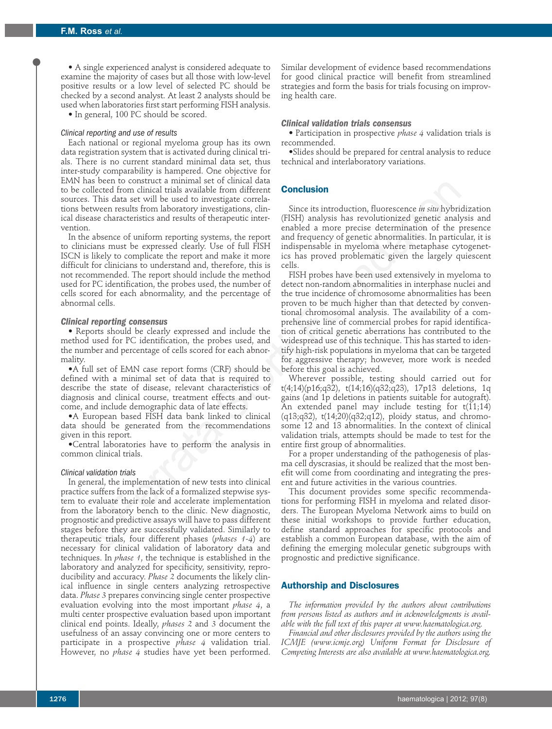• A single experienced analyst is considered adequate to examine the majority of cases but all those with low-level positive results or a low level of selected PC should be checked by a second analyst. At least 2 analysts should be used when laboratories first start performing FISH analysis.

• In general, 100 PC should be scored.

#### *Clinical reporting and use of results*

Each national or regional myeloma group has its own data registration system that is activated during clinical trials. There is no current standard minimal data set, thus inter-study comparability is hampered. One objective for EMN has been to construct a minimal set of clinical data to be collected from clinical trials available from different sources. This data set will be used to investigate correlations between results from laboratory investigations, clinical disease characteristics and results of therapeutic intervention.

In the absence of uniform reporting systems, the report to clinicians must be expressed clearly. Use of full FISH ISCN is likely to complicate the report and make it more difficult for clinicians to understand and, therefore, this is not recommended. The report should include the method used for PC identification, the probes used, the number of cells scored for each abnormality, and the percentage of abnormal cells.

# *Clinical reporting consensus*

• Reports should be clearly expressed and include the method used for PC identification, the probes used, and the number and percentage of cells scored for each abnormality.

•A full set of EMN case report forms (CRF) should be defined with a minimal set of data that is required to describe the state of disease, relevant characteristics of diagnosis and clinical course, treatment effects and outcome, and include demographic data of late effects.

•A European based FISH data bank linked to clinical data should be generated from the recommendations given in this report.

•Central laboratories have to perform the analysis in common clinical trials.

### *Clinical validation trials*

In general, the implementation of new tests into clinical practice suffers from the lack of a formalized stepwise system to evaluate their role and accelerate implementation from the laboratory bench to the clinic. New diagnostic, prognostic and predictive assays will have to pass different stages before they are successfully validated. Similarly to therapeutic trials, four different phases (*phases 1-4*) are necessary for clinical validation of laboratory data and techniques. In *phase 1*, the technique is established in the laboratory and analyzed for specificity, sensitivity, reproducibility and accuracy. *Phase 2* documents the likely clinical influence in single centers analyzing retrospective data. *Phase 3* prepares convincing single center prospective evaluation evolving into the most important *phase 4*, a multi center prospective evaluation based upon important clinical end points. Ideally, *phases 2* and *3* document the usefulness of an assay convincing one or more centers to participate in a prospective *phase 4* validation trial. However, no *phase 4* studies have yet been performed. Similar development of evidence based recommendations for good clinical practice will benefit from streamlined strategies and form the basis for trials focusing on improving health care.

#### *Clinical validation trials consensus*

• Participation in prospective *phase 4* validation trials is recommended.

•Slides should be prepared for central analysis to reduce technical and interlaboratory variations.

# **Conclusion**

Since its introduction, fluorescence *in situ* hybridization (FISH) analysis has revolutionized genetic analysis and enabled a more precise determination of the presence and frequency of genetic abnormalities. In particular, it is indispensable in myeloma where metaphase cytogenetics has proved problematic given the largely quiescent cells.

FISH probes have been used extensively in myeloma to detect non-random abnormalities in interphase nuclei and the true incidence of chromosome abnormalities has been proven to be much higher than that detected by conventional chromosomal analysis. The availability of a comprehensive line of commercial probes for rapid identification of critical genetic aberrations has contributed to the widespread use of this technique. This has started to identify high-risk populations in myeloma that can be targeted for aggressive therapy; however, more work is needed before this goal is achieved. and their associates of the minimizarion (and the set of the set of the set of the set of the set of the set of the set of the set of the set of the set of the set of the set of the set of the set of the set of the set of

Wherever possible, testing should carried out for t(4;14)(p16;q32), t(14;16)(q32;q23), 17p13 deletions, 1q gains (and 1p deletions in patients suitable for autograft). An extended panel may include testing for  $t(11;14)$ (q13;q32), t(14;20)(q32;q12), ploidy status, and chromosome 12 and 13 abnormalities. In the context of clinical validation trials, attempts should be made to test for the entire first group of abnormalities.

For a proper understanding of the pathogenesis of plasma cell dyscrasias, it should be realized that the most benefit will come from coordinating and integrating the present and future activities in the various countries.

This document provides some specific recommendations for performing FISH in myeloma and related disorders. The European Myeloma Network aims to build on these initial workshops to provide further education, define standard approaches for specific protocols and establish a common European database, with the aim of defining the emerging molecular genetic subgroups with prognostic and predictive significance.

### **Authorship and Disclosures**

*The information provided by the authors about contributions from persons listed as authors and in acknowledgments is available with the full text of this paper at www.haematologica.org.*

*Financial and other disclosures provided by the authors using the ICMJE (www.icmje.org) Uniform Format for Disclosure of Competing Interests are also available at www.haematologica.org.*